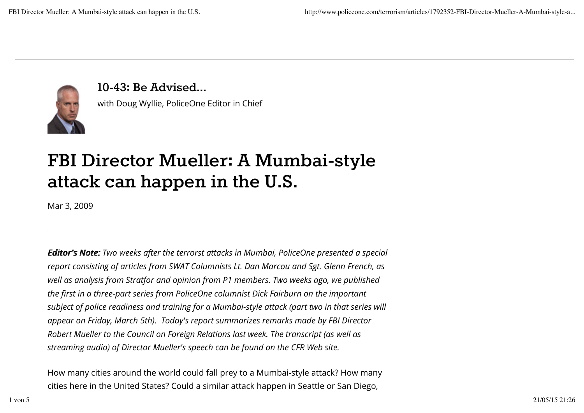

10-43: Be Advised... with Doug Wyllie, PoliceOne Editor in Chief

## FBI Director Mueller: A Mumbai-style attack can happen in the U.S.

Mar 3, 2009

*Editor's Note: Two weeks after the terrorst attacks in Mumbai, PoliceOne presented a special report consisting of articles from SWAT Columnists Lt. Dan Marcou and Sgt. Glenn French, as well as analysis from Stratfor and opinion from P1 members. Two weeks ago, we published the* fi*rst in a three-part series from PoliceOne columnist Dick Fairburn on the important subject of police readiness and training for a Mumbai-style attack (part two in that series will appear on Friday, March 5th). Today's report summarizes remarks made by FBI Director Robert Mueller to the Council on Foreign Relations last week. The transcript (as well as streaming audio) of Director Mueller's speech can be found on the CFR Web site.*

How many cities around the world could fall prey to a Mumbai-style attack? How many cities here in the United States? Could a similar attack happen in Seattle or San Diego,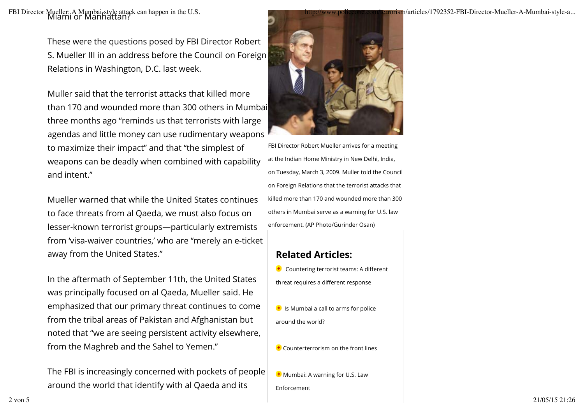These were the questions posed by FBI Director Robert S. Mueller III in an address before the Council on Foreign Relations in Washington, D.C. last week.

Muller said that the terrorist attacks that killed more than 170 and wounded more than 300 others in Mumbai three months ago "reminds us that terrorists with large agendas and little money can use rudimentary weapons to maximize their impact" and that "the simplest of weapons can be deadly when combined with capability and intent."

Mueller warned that while the United States continues to face threats from al Qaeda, we must also focus on lesser-known terrorist groups—particularly extremists from 'visa-waiver countries,' who are "merely an e-ticket away from the United States."

In the aftermath of September 11th, the United States was principally focused on al Qaeda, Mueller said. He emphasized that our primary threat continues to come from the tribal areas of Pakistan and Afghanistan but noted that "we are seeing persistent activity elsewhere, from the Maghreb and the Sahel to Yemen."

The FBI is increasingly concerned with pockets of people around the world that identify with al Qaeda and its



FBI Director Robert Mueller arrives for a meeting at the Indian Home Ministry in New Delhi, India, on Tuesday, March 3, 2009. Muller told the Council on Foreign Relations that the terrorist attacks that killed more than 170 and wounded more than 300 others in Mumbai serve as a warning for U.S. law enforcement. (AP Photo/Gurinder Osan)

## Related Articles:

- <sup>+</sup> Countering terrorist teams: A different threat requires a different response
- $\bigstar$  Is Mumbai a call to arms for police around the world?
- $\rightarrow$  Counterterrorism on the front lines
- $\rightarrow$  Mumbai: A warning for U.S. Law Enforcement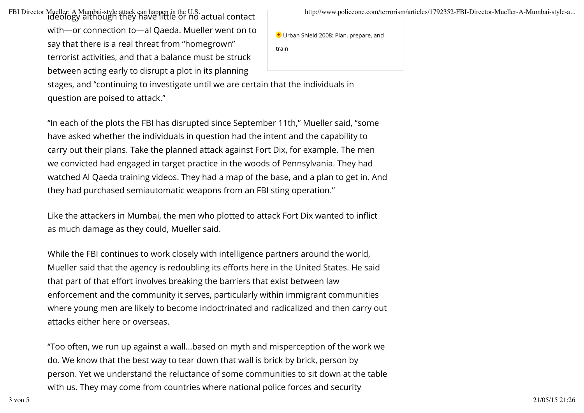FBI Director Mueller: A Mumbai-style attack can happen in the U.S. http://www.policeone.com/terrorism/articles/1792352-FBI-Director-Mueller-A-Mumbai-style-a...<br>Ideology although they have little or no actual contact with—or connection to—al Qaeda. Mueller went on to say that there is a real threat from "homegrown" terrorist activities, and that a balance must be struck between acting early to disrupt a plot in its planning

| $\mu$ (iii). The summer of the contract of the state of the state $\mu$ is $\mu$ |  |
|----------------------------------------------------------------------------------|--|
| Urban Shield 2008: Plan, prepare, and                                            |  |
| train                                                                            |  |
|                                                                                  |  |

stages, and "continuing to investigate until we are certain that the individuals in question are poised to attack."

"In each of the plots the FBI has disrupted since September 11th," Mueller said, "some have asked whether the individuals in question had the intent and the capability to carry out their plans. Take the planned attack against Fort Dix, for example. The men we convicted had engaged in target practice in the woods of Pennsylvania. They had watched Al Qaeda training videos. They had a map of the base, and a plan to get in. And they had purchased semiautomatic weapons from an FBI sting operation."

Like the attackers in Mumbai, the men who plotted to attack Fort Dix wanted to inflict as much damage as they could, Mueller said.

While the FBI continues to work closely with intelligence partners around the world, Mueller said that the agency is redoubling its efforts here in the United States. He said that part of that effort involves breaking the barriers that exist between law enforcement and the community it serves, particularly within immigrant communities where young men are likely to become indoctrinated and radicalized and then carry out attacks either here or overseas.

"Too often, we run up against a wall...based on myth and misperception of the work we do. We know that the best way to tear down that wall is brick by brick, person by person. Yet we understand the reluctance of some communities to sit down at the table with us. They may come from countries where national police forces and security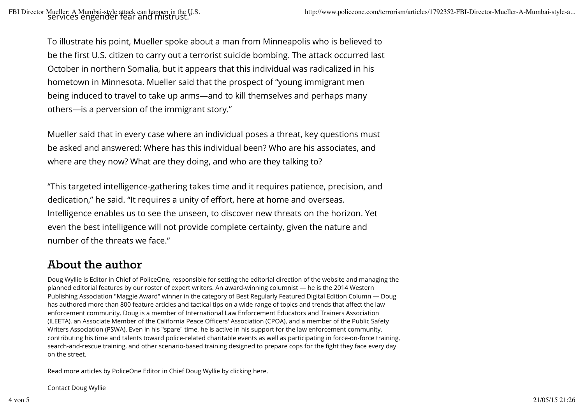To illustrate his point, Mueller spoke about a man from Minneapolis who is believed to be the first U.S. citizen to carry out a terrorist suicide bombing. The attack occurred last October in northern Somalia, but it appears that this individual was radicalized in his hometown in Minnesota. Mueller said that the prospect of "young immigrant men being induced to travel to take up arms—and to kill themselves and perhaps many others—is a perversion of the immigrant story."

Mueller said that in every case where an individual poses a threat, key questions must be asked and answered: Where has this individual been? Who are his associates, and where are they now? What are they doing, and who are they talking to?

"This targeted intelligence-gathering takes time and it requires patience, precision, and dedication," he said. "It requires a unity of effort, here at home and overseas. Intelligence enables us to see the unseen, to discover new threats on the horizon. Yet even the best intelligence will not provide complete certainty, given the nature and number of the threats we face."

## About the author

Doug Wyllie is Editor in Chief of PoliceOne, responsible for setting the editorial direction of the website and managing the planned editorial features by our roster of expert writers. An award-winning columnist — he is the 2014 Western Publishing Association "Maggie Award" winner in the category of Best Regularly Featured Digital Edition Column — Doug has authored more than 800 feature articles and tactical tips on a wide range of topics and trends that affect the law enforcement community. Doug is a member of International Law Enforcement Educators and Trainers Association (ILEETA), an Associate Member of the California Peace Officers' Association (CPOA), and a member of the Public Safety Writers Association (PSWA). Even in his "spare" time, he is active in his support for the law enforcement community, contributing his time and talents toward police-related charitable events as well as participating in force-on-force training, search-and-rescue training, and other scenario-based training designed to prepare cops for the fight they face every day on the street.

Read more articles by PoliceOne Editor in Chief Doug Wyllie by clicking here.

Contact Doug Wyllie